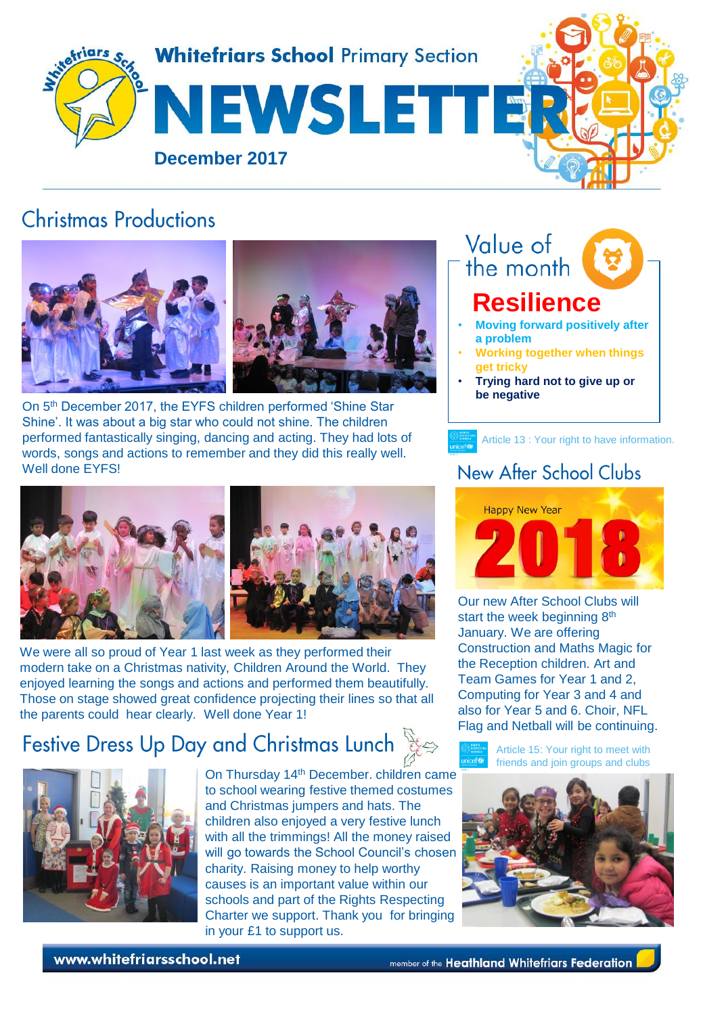

## **Christmas Productions**



On 5th December 2017, the EYFS children performed 'Shine Star Shine'. It was about a big star who could not shine. The children performed fantastically singing, dancing and acting. They had lots of words, songs and actions to remember and they did this really well. Well done EYFS!



We were all so proud of Year 1 last week as they performed their modern take on a Christmas nativity, Children Around the World. They enjoyed learning the songs and actions and performed them beautifully. Those on stage showed great confidence projecting their lines so that all the parents could hear clearly. Well done Year 1!

# Festive Dress Up Day and Christmas Lunch



On Thursday 14th December. children came to school wearing festive themed costumes and Christmas jumpers and hats. The children also enjoyed a very festive lunch with all the trimmings! All the money raised will go towards the School Council's chosen charity. Raising money to help worthy causes is an important value within our schools and part of the Rights Respecting Charter we support. Thank you for bringing in your £1 to support us.



### New After School Clubs

Article 13 : Your right to have information.



Our new After School Clubs will start the week beginning 8<sup>th</sup> January. We are offering Construction and Maths Magic for the Reception children. Art and Team Games for Year 1 and 2, Computing for Year 3 and 4 and also for Year 5 and 6. Choir, NFL Flag and Netball will be continuing.





www.whitefriarsschool.net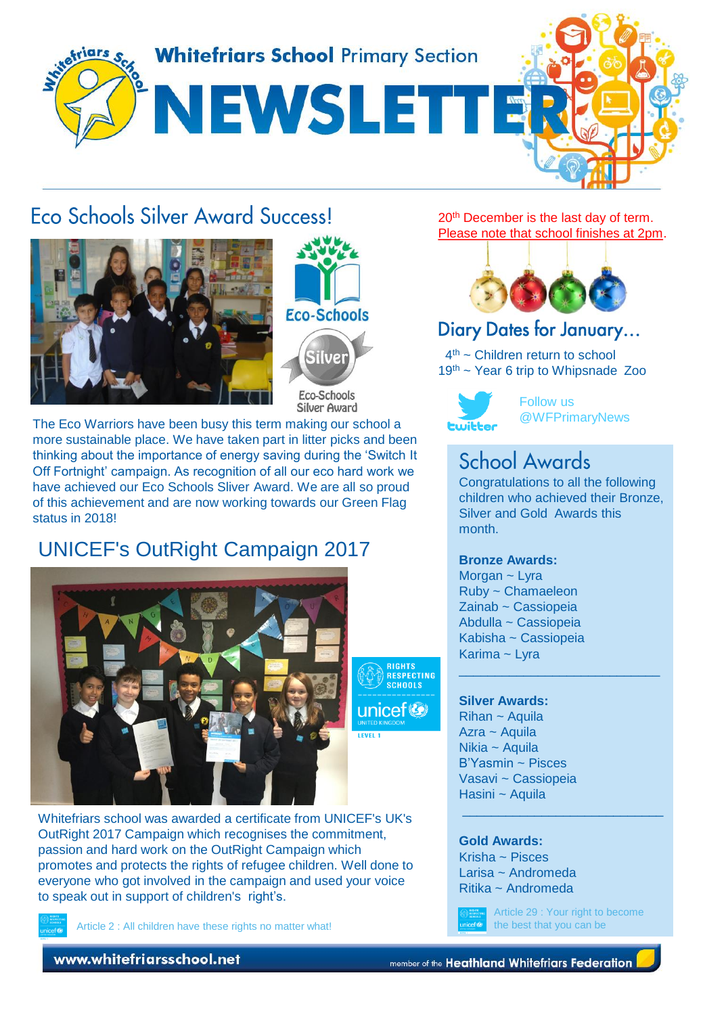

## **Fro Schools Silver Award SuccessL**





The Eco Warriors have been busy this term making our school a more sustainable place. We have taken part in litter picks and been thinking about the importance of energy saving during the 'Switch It Off Fortnight' campaign. As recognition of all our eco hard work we have achieved our Eco Schools Sliver Award. We are all so proud of this achievement and are now working towards our Green Flag status in 2018!

## UNICEF's OutRight Campaign 2017



Whitefriars school was awarded a certificate from UNICEF's UK's OutRight 2017 Campaign which recognises the commitment, passion and hard work on the OutRight Campaign which promotes and protects the rights of refugee children. Well done to everyone who got involved in the campaign and used your voice to speak out in support of children's right's.

Article 2 : All children have these rights no matter what!

20<sup>th</sup> December is the last day of term. Please note that school finishes at 2pm.



## Diary Dates for January...

4 th ~ Children return to school 19th ~ Year 6 trip to Whipsnade Zoo



Follow us @WFPrimaryNews

## **School Awards**

Congratulations to all the following children who achieved their Bronze, Silver and Gold Awards this month.

\_\_\_\_\_\_\_\_\_\_\_\_\_\_\_\_\_\_\_\_\_\_\_\_\_\_\_\_

\_\_\_\_\_\_\_\_\_\_\_\_\_\_\_\_\_\_\_\_\_\_\_\_\_\_\_\_

#### **Bronze Awards:**

Morgan ~ Lyra Ruby ~ Chamaeleon Zainab ~ Cassiopeia Abdulla ~ Cassiopeia Kabisha ~ Cassiopeia Karima ~ Lyra

#### **Silver Awards:**

**RIGHTS HISHIS**<br>RESPECTING **SCHOOLS** 

> Rihan ~ Aquila Azra ~ Aquila Nikia ~ Aquila B'Yasmin ~ Pisces Vasavi ~ Cassiopeia Hasini ~ Aquila

#### **Gold Awards:**

Krisha ~ Pisces Larisa ~ Andromeda Ritika ~ Andromeda

Article 29 : Your right to become the best that you can be

www.whitefriarsschool.net